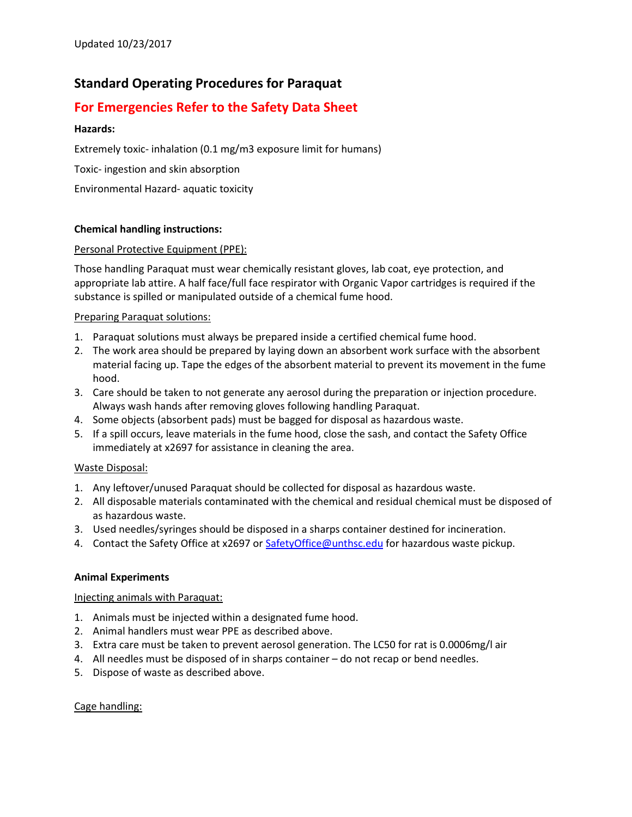# **Standard Operating Procedures for Paraquat**

## **For Emergencies Refer to the Safety Data Sheet**

## **Hazards:**

Extremely toxic- inhalation (0.1 mg/m3 exposure limit for humans)

Toxic- ingestion and skin absorption

Environmental Hazard- aquatic toxicity

## **Chemical handling instructions:**

## Personal Protective Equipment (PPE):

Those handling Paraquat must wear chemically resistant gloves, lab coat, eye protection, and appropriate lab attire. A half face/full face respirator with Organic Vapor cartridges is required if the substance is spilled or manipulated outside of a chemical fume hood.

## Preparing Paraquat solutions:

- 1. Paraquat solutions must always be prepared inside a certified chemical fume hood.
- 2. The work area should be prepared by laying down an absorbent work surface with the absorbent material facing up. Tape the edges of the absorbent material to prevent its movement in the fume hood.
- 3. Care should be taken to not generate any aerosol during the preparation or injection procedure. Always wash hands after removing gloves following handling Paraquat.
- 4. Some objects (absorbent pads) must be bagged for disposal as hazardous waste.
- 5. If a spill occurs, leave materials in the fume hood, close the sash, and contact the Safety Office immediately at x2697 for assistance in cleaning the area.

## Waste Disposal:

- 1. Any leftover/unused Paraquat should be collected for disposal as hazardous waste.
- 2. All disposable materials contaminated with the chemical and residual chemical must be disposed of as hazardous waste.
- 3. Used needles/syringes should be disposed in a sharps container destined for incineration.
- 4. Contact the Safety Office at x2697 or Safety Office @unthsc.edu for hazardous waste pickup.

## **Animal Experiments**

## Injecting animals with Paraquat:

- 1. Animals must be injected within a designated fume hood.
- 2. Animal handlers must wear PPE as described above.
- 3. Extra care must be taken to prevent aerosol generation. The LC50 for rat is 0.0006mg/l air
- 4. All needles must be disposed of in sharps container do not recap or bend needles.
- 5. Dispose of waste as described above.

## Cage handling: